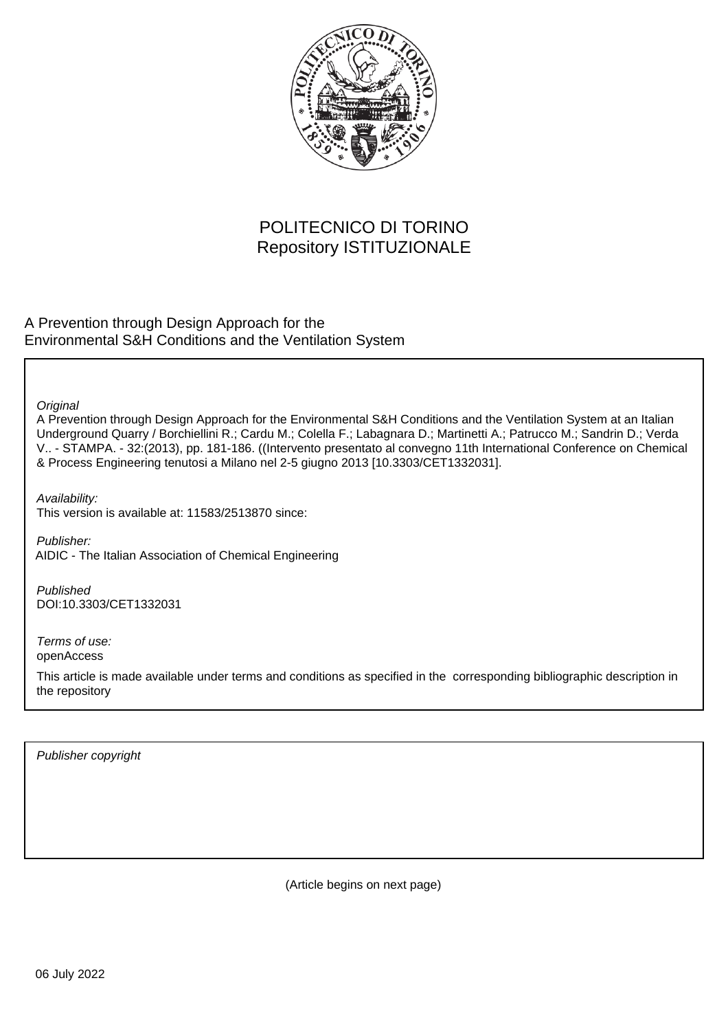

## POLITECNICO DI TORINO Repository ISTITUZIONALE

A Prevention through Design Approach for the Environmental S&H Conditions and the Ventilation System

**Original** 

A Prevention through Design Approach for the Environmental S&H Conditions and the Ventilation System at an Italian Underground Quarry / Borchiellini R.; Cardu M.; Colella F.; Labagnara D.; Martinetti A.; Patrucco M.; Sandrin D.; Verda V.. - STAMPA. - 32:(2013), pp. 181-186. ((Intervento presentato al convegno 11th International Conference on Chemical & Process Engineering tenutosi a Milano nel 2-5 giugno 2013 [10.3303/CET1332031].

Availability: This version is available at: 11583/2513870 since:

Publisher: AIDIC - The Italian Association of Chemical Engineering

Published DOI:10.3303/CET1332031

Terms of use: openAccess

This article is made available under terms and conditions as specified in the corresponding bibliographic description in the repository

Publisher copyright

(Article begins on next page)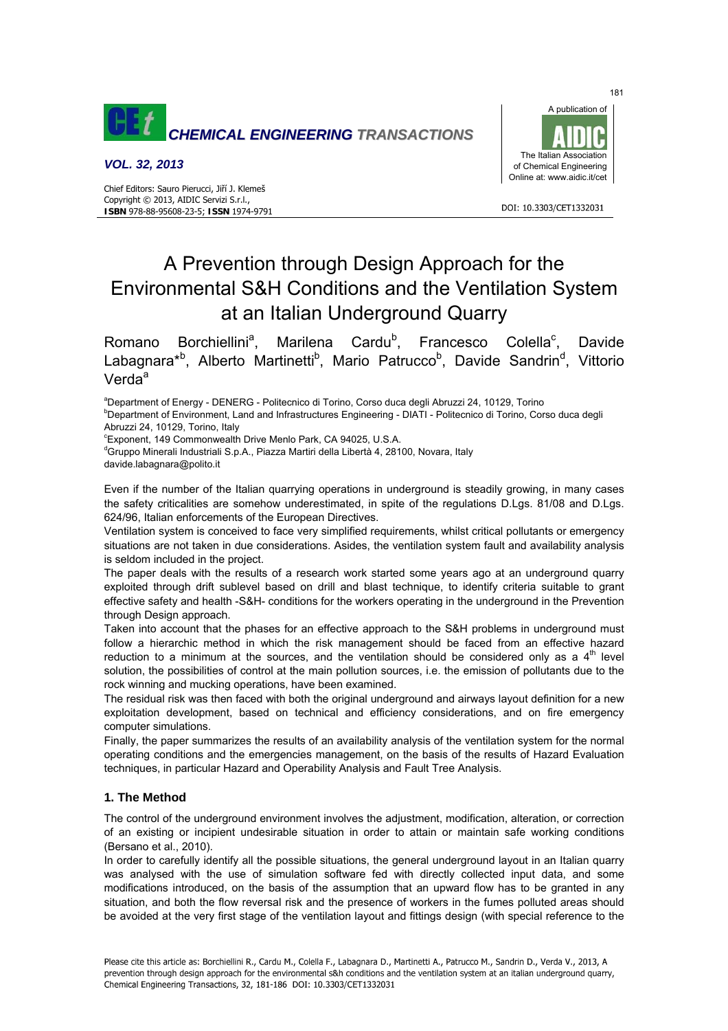

#### *VOL. 32, 2013*



#### DOI: 10.3303/CFT1332031

# A Prevention through Design Approach for the Environmental S&H Conditions and the Ventilation System at an Italian Underground Quarry

Romano Borchiellini<sup>a</sup>, Marilena Cardu<sup>b</sup>, Francesco Colella<sup>c</sup> , Davide Labagnara<sup>\*b</sup>, Alberto Martinetti<sup>b</sup>, Mario Patrucco<sup>b</sup>, Davide Sandrin<sup>d</sup>, Vittorio Verda<sup>a</sup>

<sup>a</sup>Department of Energy - DENERG - Politecnico di Torino, Corso duca degli Abruzzi 24, 10129, Torino<br><sup>b</sup>Department of Environment, Land and Infrastructures Engineering - DIATL, Politecnico di Terino, Corr

<sup>b</sup>Department of Environment, Land and Infrastructures Engineering - DIATI - Politecnico di Torino, Corso duca degli Abruzzi 24, 10129, Torino, Italy

c Exponent, 149 Commonwealth Drive Menlo Park, CA 94025, U.S.A.

<sup>d</sup>Gruppo Minerali Industriali S.p.A., Piazza Martiri della Libertà 4, 28100, Novara, Italy davide.labagnara@polito.it

Even if the number of the Italian quarrying operations in underground is steadily growing, in many cases the safety criticalities are somehow underestimated, in spite of the regulations D.Lgs. 81/08 and D.Lgs. 624/96, Italian enforcements of the European Directives.

Ventilation system is conceived to face very simplified requirements, whilst critical pollutants or emergency situations are not taken in due considerations. Asides, the ventilation system fault and availability analysis is seldom included in the project.

The paper deals with the results of a research work started some years ago at an underground quarry exploited through drift sublevel based on drill and blast technique, to identify criteria suitable to grant effective safety and health -S&H- conditions for the workers operating in the underground in the Prevention through Design approach.

Taken into account that the phases for an effective approach to the S&H problems in underground must follow a hierarchic method in which the risk management should be faced from an effective hazard reduction to a minimum at the sources, and the ventilation should be considered only as a  $4<sup>th</sup>$  level solution, the possibilities of control at the main pollution sources, i.e. the emission of pollutants due to the rock winning and mucking operations, have been examined.

The residual risk was then faced with both the original underground and airways layout definition for a new exploitation development, based on technical and efficiency considerations, and on fire emergency computer simulations.

Finally, the paper summarizes the results of an availability analysis of the ventilation system for the normal operating conditions and the emergencies management, on the basis of the results of Hazard Evaluation techniques, in particular Hazard and Operability Analysis and Fault Tree Analysis.

## **1. The Method**

The control of the underground environment involves the adjustment, modification, alteration, or correction of an existing or incipient undesirable situation in order to attain or maintain safe working conditions (Bersano et al., 2010).

In order to carefully identify all the possible situations, the general underground layout in an Italian quarry was analysed with the use of simulation software fed with directly collected input data, and some modifications introduced, on the basis of the assumption that an upward flow has to be granted in any situation, and both the flow reversal risk and the presence of workers in the fumes polluted areas should be avoided at the very first stage of the ventilation layout and fittings design (with special reference to the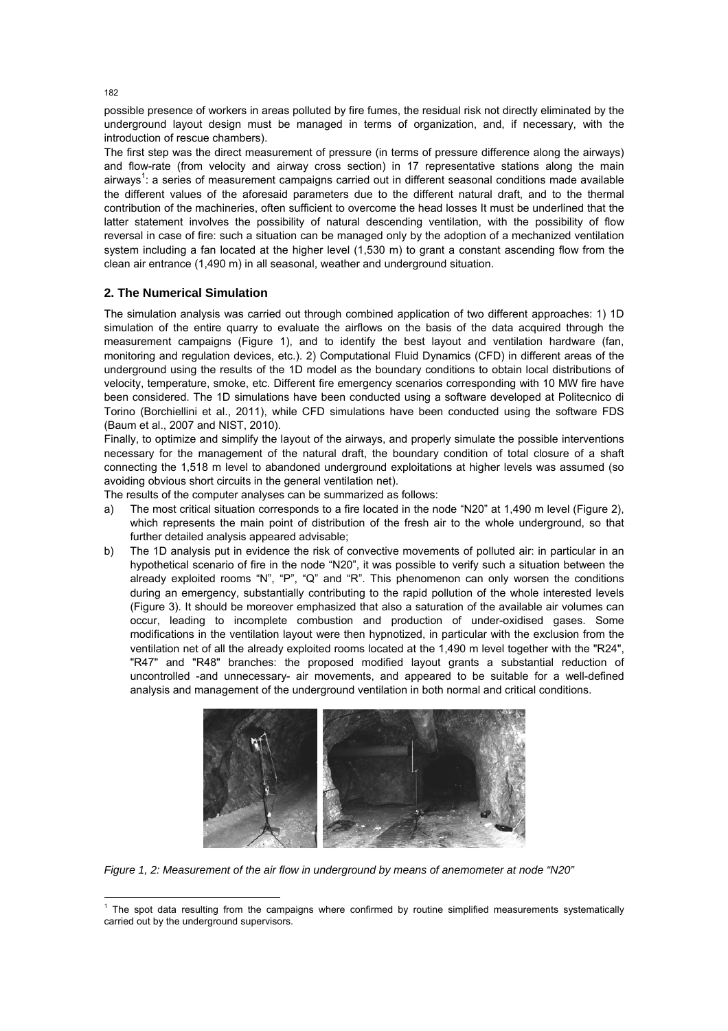possible presence of workers in areas polluted by fire fumes, the residual risk not directly eliminated by the underground layout design must be managed in terms of organization, and, if necessary, with the introduction of rescue chambers).

The first step was the direct measurement of pressure (in terms of pressure difference along the airways) and flow-rate (from velocity and airway cross section) in 17 representative stations along the main airways<sup>1</sup>: a series of measurement campaigns carried out in different seasonal conditions made available the different values of the aforesaid parameters due to the different natural draft, and to the thermal contribution of the machineries, often sufficient to overcome the head losses It must be underlined that the latter statement involves the possibility of natural descending ventilation, with the possibility of flow reversal in case of fire: such a situation can be managed only by the adoption of a mechanized ventilation system including a fan located at the higher level (1.530 m) to grant a constant ascending flow from the clean air entrance (1,490 m) in all seasonal, weather and underground situation.

## **2. The Numerical Simulation**

The simulation analysis was carried out through combined application of two different approaches: 1) 1D simulation of the entire quarry to evaluate the airflows on the basis of the data acquired through the measurement campaigns (Figure 1), and to identify the best layout and ventilation hardware (fan, monitoring and regulation devices, etc.). 2) Computational Fluid Dynamics (CFD) in different areas of the underground using the results of the 1D model as the boundary conditions to obtain local distributions of velocity, temperature, smoke, etc. Different fire emergency scenarios corresponding with 10 MW fire have been considered. The 1D simulations have been conducted using a software developed at Politecnico di Torino (Borchiellini et al., 2011), while CFD simulations have been conducted using the software FDS (Baum et al., 2007 and NIST, 2010).

Finally, to optimize and simplify the layout of the airways, and properly simulate the possible interventions necessary for the management of the natural draft, the boundary condition of total closure of a shaft connecting the 1,518 m level to abandoned underground exploitations at higher levels was assumed (so avoiding obvious short circuits in the general ventilation net).

The results of the computer analyses can be summarized as follows:

- a) The most critical situation corresponds to a fire located in the node "N20" at 1,490 m level (Figure 2), which represents the main point of distribution of the fresh air to the whole underground, so that further detailed analysis appeared advisable;
- b) The 1D analysis put in evidence the risk of convective movements of polluted air: in particular in an hypothetical scenario of fire in the node "N20", it was possible to verify such a situation between the already exploited rooms "N", "P", "Q" and "R". This phenomenon can only worsen the conditions during an emergency, substantially contributing to the rapid pollution of the whole interested levels (Figure 3). It should be moreover emphasized that also a saturation of the available air volumes can occur, leading to incomplete combustion and production of under-oxidised gases. Some modifications in the ventilation layout were then hypnotized, in particular with the exclusion from the ventilation net of all the already exploited rooms located at the 1,490 m level together with the "R24", "R47" and "R48" branches: the proposed modified layout grants a substantial reduction of uncontrolled -and unnecessary- air movements, and appeared to be suitable for a well-defined analysis and management of the underground ventilation in both normal and critical conditions.



*Figure 1, 2: Measurement of the air flow in underground by means of anemometer at node "N20"* 

182

l

<sup>&</sup>lt;sup>1</sup> The spot data resulting from the campaigns where confirmed by routine simplified measurements systematically carried out by the underground supervisors.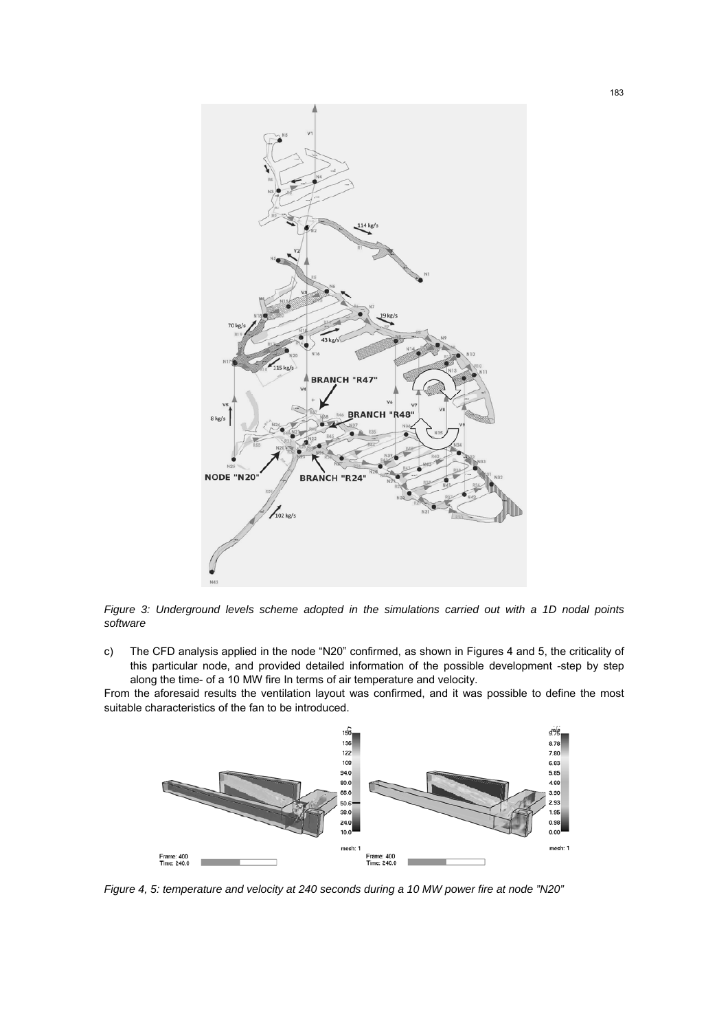

*Figure 3: Underground levels scheme adopted in the simulations carried out with a 1D nodal points software* 

c) The CFD analysis applied in the node "N20" confirmed, as shown in Figures 4 and 5, the criticality of this particular node, and provided detailed information of the possible development -step by step along the time- of a 10 MW fire In terms of air temperature and velocity.

From the aforesaid results the ventilation layout was confirmed, and it was possible to define the most suitable characteristics of the fan to be introduced.



*Figure 4, 5: temperature and velocity at 240 seconds during a 10 MW power fire at node "N20"*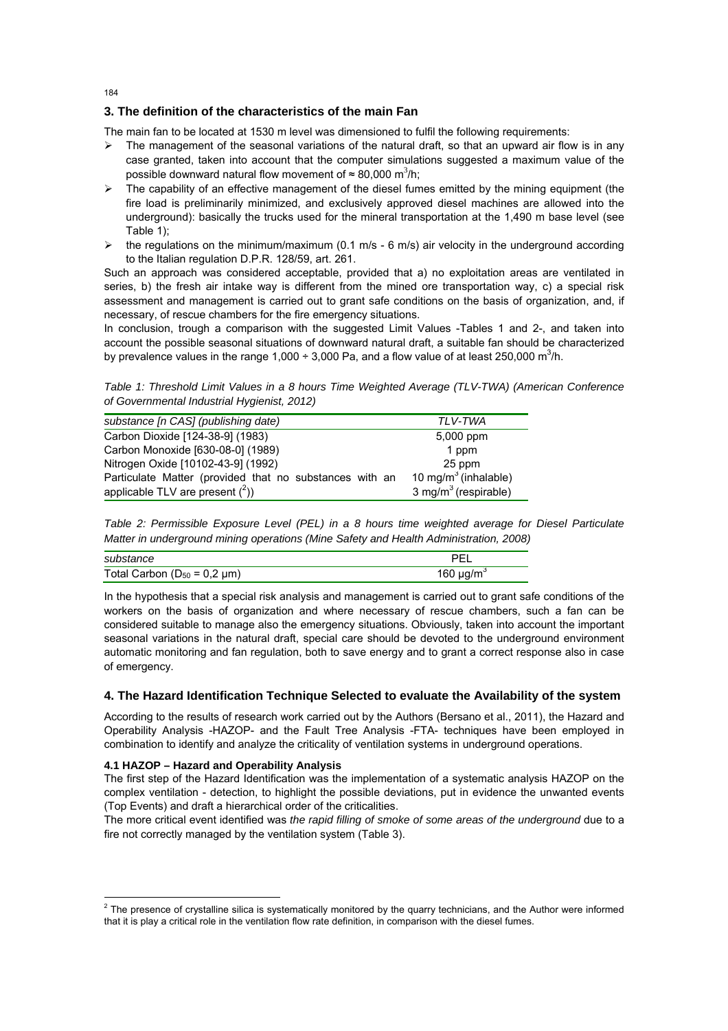## **3. The definition of the characteristics of the main Fan**

184

The main fan to be located at 1530 m level was dimensioned to fulfil the following requirements:

- $\triangleright$  The management of the seasonal variations of the natural draft, so that an upward air flow is in any case granted, taken into account that the computer simulations suggested a maximum value of the possible downward natural flow movement of  $\approx 80,000$  m<sup>3</sup>/h;
- $\triangleright$  The capability of an effective management of the diesel fumes emitted by the mining equipment (the fire load is preliminarily minimized, and exclusively approved diesel machines are allowed into the underground): basically the trucks used for the mineral transportation at the 1,490 m base level (see Table 1);
- $\triangleright$  the regulations on the minimum/maximum (0.1 m/s 6 m/s) air velocity in the underground according to the Italian regulation D.P.R. 128/59, art. 261.

Such an approach was considered acceptable, provided that a) no exploitation areas are ventilated in series, b) the fresh air intake way is different from the mined ore transportation way, c) a special risk assessment and management is carried out to grant safe conditions on the basis of organization, and, if necessary, of rescue chambers for the fire emergency situations.

In conclusion, trough a comparison with the suggested Limit Values -Tables 1 and 2-, and taken into account the possible seasonal situations of downward natural draft, a suitable fan should be characterized by prevalence values in the range 1,000 ÷ 3,000 Pa, and a flow value of at least 250,000 m<sup>3</sup>/h.

*Table 1: Threshold Limit Values in a 8 hours Time Weighted Average (TLV-TWA) (American Conference of Governmental Industrial Hygienist, 2012)* 

| substance [n CAS] (publishing date)                     | TI V-TWA                         |
|---------------------------------------------------------|----------------------------------|
| Carbon Dioxide [124-38-9] (1983)                        | 5,000 ppm                        |
| Carbon Monoxide [630-08-0] (1989)                       | 1 ppm                            |
| Nitrogen Oxide [10102-43-9] (1992)                      | 25 ppm                           |
| Particulate Matter (provided that no substances with an | 10 mg/m $3$ (inhalable)          |
| applicable TLV are present $(^2)$ )                     | 3 mg/m <sup>3</sup> (respirable) |

*Table 2: Permissible Exposure Level (PEL) in a 8 hours time weighted average for Diesel Particulate Matter in underground mining operations (Mine Safety and Health Administration, 2008)* 

| substance                              | DEI                        |
|----------------------------------------|----------------------------|
| Total Carbon ( $D_{50}$ = 0,2 $\mu$ m) | 160 $\mu$ g/m <sup>3</sup> |

In the hypothesis that a special risk analysis and management is carried out to grant safe conditions of the workers on the basis of organization and where necessary of rescue chambers, such a fan can be considered suitable to manage also the emergency situations. Obviously, taken into account the important seasonal variations in the natural draft, special care should be devoted to the underground environment automatic monitoring and fan regulation, both to save energy and to grant a correct response also in case of emergency.

## **4. The Hazard Identification Technique Selected to evaluate the Availability of the system**

According to the results of research work carried out by the Authors (Bersano et al., 2011), the Hazard and Operability Analysis -HAZOP- and the Fault Tree Analysis -FTA- techniques have been employed in combination to identify and analyze the criticality of ventilation systems in underground operations.

#### **4.1 HAZOP – Hazard and Operability Analysis**

l

The first step of the Hazard Identification was the implementation of a systematic analysis HAZOP on the complex ventilation - detection, to highlight the possible deviations, put in evidence the unwanted events (Top Events) and draft a hierarchical order of the criticalities.

The more critical event identified was *the rapid filling of smoke of some areas of the underground* due to a fire not correctly managed by the ventilation system (Table 3).

 $2$  The presence of crystalline silica is systematically monitored by the quarry technicians, and the Author were informed that it is play a critical role in the ventilation flow rate definition, in comparison with the diesel fumes.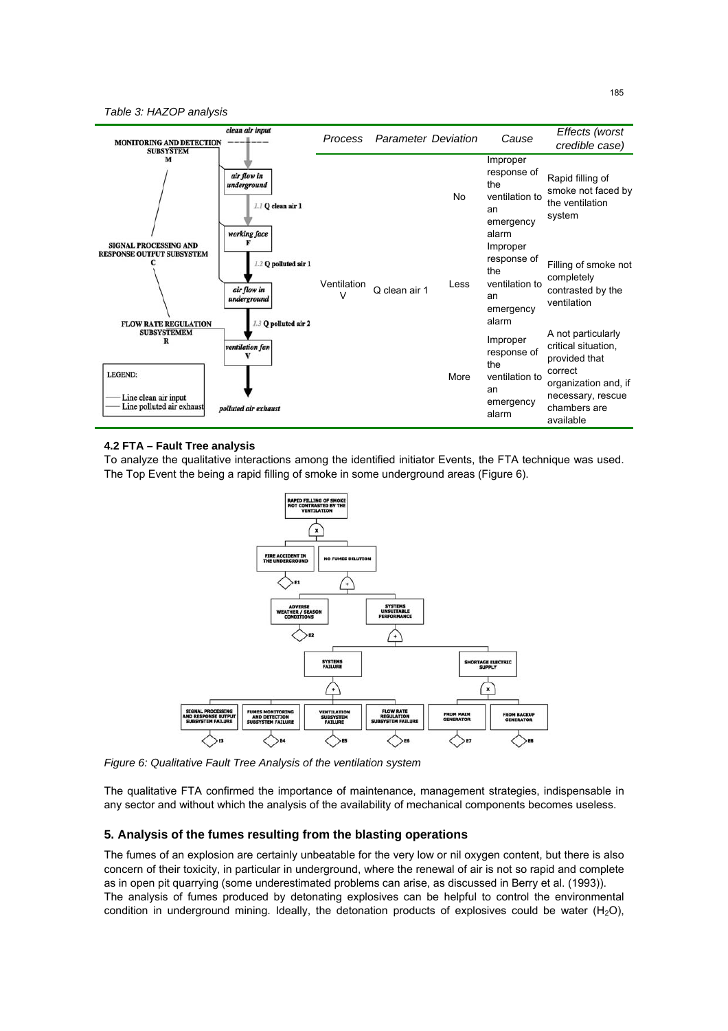*Table 3: HAZOP analysis* 



#### **4.2 FTA – Fault Tree analysis**

To analyze the qualitative interactions among the identified initiator Events, the FTA technique was used. The Top Event the being a rapid filling of smoke in some underground areas (Figure 6).



*Figure 6: Qualitative Fault Tree Analysis of the ventilation system* 

The qualitative FTA confirmed the importance of maintenance, management strategies, indispensable in any sector and without which the analysis of the availability of mechanical components becomes useless.

#### **5. Analysis of the fumes resulting from the blasting operations**

The fumes of an explosion are certainly unbeatable for the very low or nil oxygen content, but there is also concern of their toxicity, in particular in underground, where the renewal of air is not so rapid and complete as in open pit quarrying (some underestimated problems can arise, as discussed in Berry et al. (1993)). The analysis of fumes produced by detonating explosives can be helpful to control the environmental condition in underground mining. Ideally, the detonation products of explosives could be water  $(H_2O)$ ,